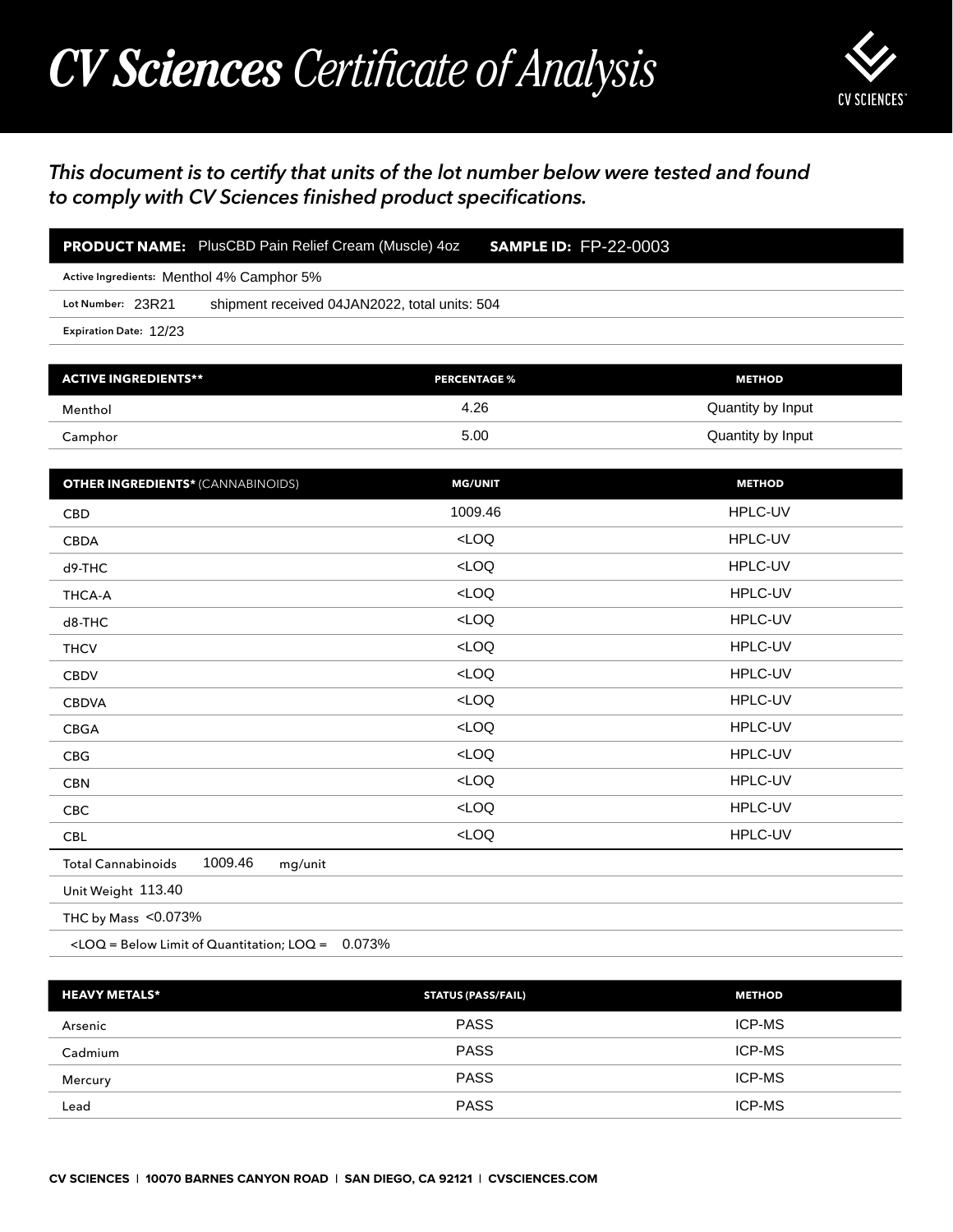## *CV Sciences Certificate of Analysis*



## *This document is to certify that units of the lot number below were tested and found to comply with CV Sciences finished product specifications.*

| PRODUCT NAME: PlusCBD Pain Relief Cream (Muscle) 4oz                                            | <b>SAMPLE ID: FP-22-0003</b>                  |                   |
|-------------------------------------------------------------------------------------------------|-----------------------------------------------|-------------------|
| Active Ingredients: Menthol 4% Camphor 5%                                                       |                                               |                   |
| Lot Number: 23R21                                                                               | shipment received 04JAN2022, total units: 504 |                   |
| Expiration Date: 12/23                                                                          |                                               |                   |
|                                                                                                 |                                               |                   |
| <b>ACTIVE INGREDIENTS**</b>                                                                     | <b>PERCENTAGE %</b>                           | <b>METHOD</b>     |
| Menthol                                                                                         | 4.26                                          | Quantity by Input |
| Camphor                                                                                         | 5.00                                          | Quantity by Input |
|                                                                                                 |                                               |                   |
| <b>OTHER INGREDIENTS* (CANNABINOIDS)</b>                                                        | <b>MG/UNIT</b>                                | <b>METHOD</b>     |
| CBD                                                                                             | 1009.46                                       | HPLC-UV           |
| <b>CBDA</b>                                                                                     | $<$ LOQ                                       | HPLC-UV           |
| d9-THC                                                                                          | LOO                                           | HPLC-UV           |
| <b>THCA-A</b>                                                                                   | $<$ LOQ                                       | HPLC-UV           |
| d8-THC                                                                                          | LOO                                           | HPLC-UV           |
| <b>THCV</b>                                                                                     | LOO                                           | HPLC-UV           |
| <b>CBDV</b>                                                                                     | LOO                                           | HPLC-UV           |
| <b>CBDVA</b>                                                                                    | LOO                                           | HPLC-UV           |
| CBGA                                                                                            | LOO                                           | HPLC-UV           |
| CBG                                                                                             | LOO                                           | HPLC-UV           |
| <b>CBN</b>                                                                                      | LOO                                           | HPLC-UV           |
| CBC                                                                                             | $<$ LOQ                                       | HPLC-UV           |
| <b>CBL</b>                                                                                      | $<$ LOQ                                       | HPLC-UV           |
| 1009.46<br><b>Total Cannabinoids</b><br>mg/unit                                                 |                                               |                   |
| Unit Weight 113.40                                                                              |                                               |                   |
| THC by Mass <0.073%                                                                             |                                               |                   |
| <loq =="" below="" limit="" loq="0.073%&lt;/td" of="" quantitation;=""><td></td><td></td></loq> |                                               |                   |
|                                                                                                 |                                               |                   |
| <b>HEAVY METALS*</b>                                                                            | <b>STATUS (PASS/FAIL)</b>                     | <b>METHOD</b>     |
| Arsenic                                                                                         | <b>PASS</b>                                   | ICP-MS            |
| Cadmium                                                                                         | <b>PASS</b>                                   | ICP-MS            |
| Mercury                                                                                         | <b>PASS</b>                                   | ICP-MS            |

| <b>HEAVY METALS*</b> | <b>STATUS (PASS/FAIL)</b> | <b>METHOD</b> |
|----------------------|---------------------------|---------------|
| Arsenic              | <b>PASS</b>               | <b>ICP-MS</b> |
| Cadmium              | <b>PASS</b>               | <b>ICP-MS</b> |
| Mercury              | <b>PASS</b>               | <b>ICP-MS</b> |
| Lead                 | <b>PASS</b>               | <b>ICP-MS</b> |